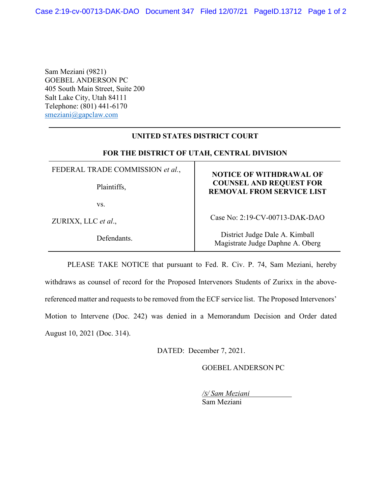Sam Meziani (9821) GOEBEL ANDERSON PC 405 South Main Street, Suite 200 Salt Lake City, Utah 84111 Telephone: (801) 441-6170 [smeziani@gapclaw.com](mailto:smeziani@gapclaw.com)

## **UNITED STATES DISTRICT COURT**

## **FOR THE DISTRICT OF UTAH, CENTRAL DIVISION**

FEDERAL TRADE COMMISSION *et al.*,

Plaintiffs,

vs.

ZURIXX, LLC *et al*.,

Defendants.

## **NOTICE OF WITHDRAWAL OF COUNSEL AND REQUEST FOR REMOVAL FROM SERVICE LIST**

Case No: 2:19-CV-00713-DAK-DAO

District Judge Dale A. Kimball Magistrate Judge Daphne A. Oberg

PLEASE TAKE NOTICE that pursuant to Fed. R. Civ. P. 74, Sam Meziani, hereby withdraws as counsel of record for the Proposed Intervenors Students of Zurixx in the abovereferenced matter and requests to be removed from the ECF service list. The Proposed Intervenors' Motion to Intervene (Doc. 242) was denied in a Memorandum Decision and Order dated August 10, 2021 (Doc. 314).

DATED: December 7, 2021.

GOEBEL ANDERSON PC

*/S/ Sam Meziani*

Sam Meziani